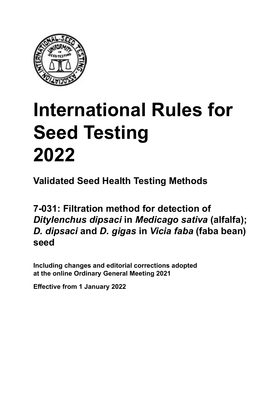

# **International Rules for Seed Testing von Saatgut 2022 2022 Semences 2022 International Rules for Seed Testing 2022**

**Métodos Validados para Análisis de Sanidad de Semillas Validate Méthodes Validées pour Analyse Sanitaire des Semences Validated Seed Health Testing Methods**

**7-031: Filtration method for detection of**  $\bm{D}$ itylenchus dipsaci in Medicago sativa (alfalfa *D. dipsaci* and *D. gigas* in *Vicia faba* (faba bean) **de** *Vicia faba* **(haba) seed7‑031: Filtrationsmethode für den Nachweis von**  *Ditylenchus dipsaci* **an** *Medicago sativa***;**  *D. dipsaci* **und** *D. gigas* **an** *Vicia faba*  $D$ *itylenchus dipsaci* in *Medicago sativa* (alfalfa); *sativa* **(luzerne) ;** *D. dipsaci* **et** *D. gigas* **sur**  *D. dipsaci* **and** *D. gigas* **in** *Vicia faba***(faba bean) seed** 

Including changes and editorial corrections adopted at the online Ordinary General Meeting 2021

**Effective from 1 January 2022**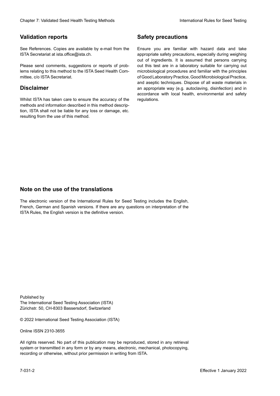### **Validation reports**

See References. Copies are available by e-mail from the<br>ISTA Secretariat at ista.office@ista.ch. ISTA Secretariat at ista.office@ista.ch.

lems relating to this method to the ISTA Seed Health Com-<br>mittee, c/o ISTA Secretariat. mittee, c/o ISTA Secretariat.<br>i Please send comments, suggestions or reports of prob-

### **Limitation de responsabilité Disclaimer**

Whilst ISTA has taken care to ensure the accuracy of the<br>methods and information described in this method description, ISTA shall not be liable for any loss or damage, etc.<br>resulting from the use of this method.<br>. resulting from the use of this method. Whilst ISTA has taken care to ensure the accuracy of the methods and information described in this method descrip-<br>tion, ISTA shall not be liable for any loss or damage, etc. tion, ISTA shall not be liable for any loss or damage, etc.<br>resulting from the use of this method.

### **Medidas de seguridad Sicherheitsmaßnahmen Sécurité Safety precautions**

Ensure you are familiar with hazard data and take Ensure you are familiar with hazard data and take<br>appropriate safety precautions, especially during weighing out of ingredients. It is assumed that persons carrying out this test are in a laboratory suitable for carrying out microbiological procedures and familiar with the principles of Good Laboratory Practice, Good Microbiological Practice, and aseptic techniques. Dispose of all waste materials in an appropriate way (e.g. autoclaving, disinfection) and in accordance with local health, environmental and safety regulations. Glade 7: Validated Deed Health Testing holes by Safety precentions and the Sacrifice of the New York (2022Validated Validated Validated Validated Validated Validated Validated Validated Validated Validated Validated Valida microbiological procedures and familiar with the principles<br>of Good Laboratory Practice, Good Microbiological Practice,<br>and aseptic techniques. Dispose of all waste materials in<br>an appropriate way (e.g. autoclaving, disinf fallstoffe sind auf geeignete Weise und entsprechend der vor Ort über der vor Ort über und Umwelt- und Umwelt-<br>Eine und Umwelt-Effective Counter of Nicholas Devel Teach Teach Teach Devel Safety precedutions<br>
Yaristotic energy of Safety precedutions and Safety precedutions of the United Safety precedutions of the United Sementary and Sementary and of Good Laboratory Practice, Good Microbiological Practice,<br>and aseptic techniques. Dispose of all waste materials in<br>an appropriate way (e.g. autoclaving, disinfection) and in Validation reports<br>
Since The Texture 1988 and the system of the Since Theorem and the Since Theorem and the system of the Since The Since The Since The Since The Since The Since The Since The Since The Since The Since The Ensure you are familiar with hazard data and take<br>appropriate safety precautions, especially during weighing<br>out of ingredients. It is assumed that persons carrying<br>out this test are in a laboratory suitable for carrying o

### **Nota sobre el uso de traducciones Anmerkung zur Benutzung der Übersetzungen Note on the use of the translations**

The electronic version of the International Rules for Seed Testing includes the English, French, German and Spanish versions. If there are any questions on interpretation of the ISTA Rules, the English version is the definitive version. The electronic version of the International Rules for Seed Testing includes the English,<br>French, German and Spanish versions. If there are any questions on interpretation of the<br>ISTA Rules, the English version is the defin The electronic version of the International Rules for Seed Testing includes the English,<br>French, German and Spanish versions. If there are any questions on interpretation of the

Published by **Extending Association (ISTA)** The International Seed Testing Association (ISTA) Zürichstr. 50, CH-8303 Bassersdorf, Switzerland

© 2022 International Seed Testing Association (ISTA)

Alle Rechte vorbehalten. Kein Teil dieses Werkes darf in irgendwelcher Form oder durch Online ISSN 2310-3655

All rights reserved. No part of this publication may be reproduced, stored in any retrieval All rights reserved. No part of this publication may be reproduced, stored in any retrieval<br>system or transmitted in any form or by any means, electronic, mechanical, photocopying,<br>recording or otherwise, without prior per recording or otherwise, without prior permis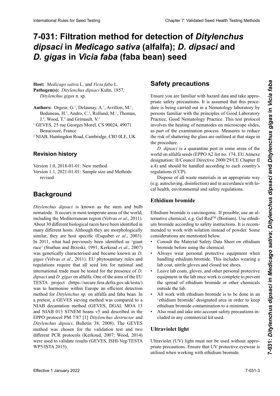# 7-031: Filtration method for detection of *Ditylenchus dipsaci* in *Medicago sativa* (alfalfa); *D. dipsaci* and *D. gigas* in *Vicia faba* (faba bean) seed

**Pathogen(s):** Ditylenchus dipsaci Kuhn, 1857; **Patógeno(s):** *Ditylenchus dipsaci* Kuhn, 1857*; Ditylenchus gigas* n. sp. **Wirtspflanze:** *Medicago sativa L.* und *Vicia faba L* **Host:** *Medicago sativa* L. and *Vicia faba* L. *Ditylenchus gigas* n. sp.  $\mathcal{L}$   $\mathcal{L}$   $\mathcal{L}$   $\mathcal{L}$   $\mathcal{L}$   $\mathcal{L}$   $\mathcal{L}$   $\mathcal{L}$   $\mathcal{L}$   $\mathcal{L}$   $\mathcal{L}$   $\mathcal{L}$   $\mathcal{L}$   $\mathcal{L}$   $\mathcal{L}$   $\mathcal{L}$   $\mathcal{L}$   $\mathcal{L}$   $\mathcal{L}$   $\mathcal{L}$   $\mathcal{L}$   $\mathcal{L}$   $\mathcal{L}$   $\mathcal{L}$   $\mathcal{$ 

- Pedungeu, H., Andre C., Delland, M., Themas  $I^2$ , Wood,  $T^2$  and Grimault,  $V^1$  $\mathbf{r}$ ,  $\mathbf{m}$ ,  $\mathbf{r}$ ,  $\mathbf{r}$ ,  $\mathbf{r}$ ,  $\mathbf{r}$ ,  $\mathbf{r}$ ,  $\mathbf{r}$ ,  $\mathbf{r}$ ,  $\mathbf{r}$ ,  $\mathbf{r}$ ,  $\mathbf{r}$ ,  $\mathbf{r}$ ,  $\mathbf{r}$ ,  $\mathbf{r}$ ,  $\mathbf{r}$ ,  $\mathbf{r}$ ,  $\mathbf{r}$ ,  $\mathbf{r}$ ,  $\mathbf{r}$ ,  $\mathbf{r}$ ,  $\mathbf{r}$ , Authors: Orgeur, G.<sup>1</sup>, Delaunay, A.<sup>1</sup>, Avrillon, M.<sup>1</sup>,  $B_{\text{column}}$   $H_{\text{1}}$ ,  $A_{\text{ndro}}$ ,  $C_{\text{1}}$ ,  $B_{\text{p}}$ lland,  $M_{\text{1}}$ , Thomas Beduneau, H.<sup>1</sup>, Andro, C.<sup>1</sup>, Rolland, M.<sup>1</sup>, Thomas,
- $\frac{1}{1}$  GEVES, 25 rue Georges Morel, CS 90024, 49071  $G.$ , wood, 1. and Grimaan, v. E v E5, 25 rue Geor<br>Beaucouzé, France <sup>1</sup> GEVES, 25 rue Georges Morel, CS 90024, 49071
- beaucouzé, F NIAD, Huntingdon Road, Cambridge, CD3 ULE, UR  $N_{\text{H}}$   $N_{\text{H}}$   $N_{\text{H}}$   $N_{\text{H}}$   $N_{\text{H}}$   $N_{\text{H}}$   $N_{\text{H}}$   $N_{\text{H}}$   $N_{\text{H}}$   $N_{\text{H}}$   $N_{\text{H}}$   $N_{\text{H}}$   $N_{\text{H}}$   $N_{\text{H}}$   $N_{\text{H}}$   $N_{\text{H}}$   $N_{\text{H}}$   $N_{\text{H}}$   $N_{\text{H}}$   $N_{\text{H}}$   $N_{\text{H}}$   $N_{\text{H}}$   $^2$  NIAB, Huntingdon Road, Cambridge, CB3 0LE, UK

#### **History**<br>Revision nistory **Revisionsstand Revision history**

 $Version 1.0, 2018-01-01: New method$ Version 1.0, 2018-01-01: Neue Methode Version  $1.0$ ,  $2018-01-01$ : New method **Historique des révisions** Version 1.0, 2018-01-01: New method

Version 1.1, 2021-01-01: Sample size and Methods revised revised in 1.1, 2021. It is expected with  $\alpha$ 

#### **Antecedentes Hintergrund Background**

Ditylenchus dipsaci is known as the stem and bulb nematode. It occurs in most temperate areas of the world, including the Mediterranean region (Volvas et al., 2011). About 30 different biological races have been identified in many different hosts. Although they are morphologically similar, they are host specific (Esquibet *et al.*, 2003). similar, they are host specific (Esquibet *et al.*, 2003). In 2011, what had previously been identified as 'giant race' (Sturhan and Brzeski, 1991; Kerkoud *et al.*, 2007) race' (Sturhan and Brzeski, 1991; Kerkoud *et al.*, 2007) was genetically characterised and became known as  $\overline{D}$ .<br>*gigas* (Volvas *et al.* 2011) EU phytosanitary rules and gigas (Volvas *et al.*, 2011). EU phytosanitary rules and regulations require that all seed lots for national and<br>international trade must be tested for the presence of *D*.<br>dinsagi and *D* giags on alfalfa. One of the sims of the EU international trade must be tested for the presence of *D*. dipsaci and *D. gigas* on alfalfa. One of the aims of the EU TESTA project (https://secure.fera.defra.gov.uk/testa/) nes in project (imperiosed eineralendigorial testa) method for *Ditylenchus* sp. on alfalfa and faba bean. In *Differenchus* sp. on alfalfa and laba bealf. In  $\alpha$  precist,  $\alpha$  OE VES sieving include was compared to a  $t_{\rm NAD}$  decantation include (GEVES, DGAL MOA 13 and NIAB 013 STNEM beans v5 and described in the<br>EPPO protocol PM 7/87 [1] *Ditylenchus destructor* and EPPO PM 7/87 [1] *Ditylenchus destructor* y *Ditylenchus Ditylenchus destructor* and *Ditylenchus dipsaci*, Bulle-EPPO protocol PM 7/87 [1] *Ditylenchus destructor* and Ditylenchus dipsaci, Bulletin 38, 2008). The GEVES Dilytenchus alpsact, Buttelli 38, 2008). The GEVES<br>method was chosen for the validation test and two different PCR protocols (Kerkoud, 2007; Wood, 2014) method was chosen for the vandation test and two<br>different PCR protocols (Kerkoud, 2007; Wood, 2014)<br>were used to validate results (GEVES, ISHI-Veg/TESTA  $WPS/ISTA 2015$ . In einer Vorunterung sp. ein anarra und raba beurt. In  $t = \frac{1}{2}$  der NIAB der NIAB Dekantiermethode vergliede vergliede vergliede vergliede vergliede vergliede vergliede vergliede vergliede vergliede vergliede vergliede vergliede vergliede vergliede vergliede vergliede verg **Historique** *nematode.* It occurs in most temperate areas of the world, including the Mediterranean region (Volvas *et al.*, 2011). About 30 different biological races have been identified in detection de *Ditylenchus* sp. on ununu una nou ocun. Au a pretest, a GEVES sieving method was compared to a were used to validate results (GEVES, ISHI-Veg/TESTA<br>WP5/ISTA 2015). blanchion Relief Interaction Control Control Control Control Control Control Control Control Control Control Control Control Control Control Control Control Control Control Control Control Control Control Control Control including the Mediterranean region (Volvas *et al*., 2011). NIAB decantation method (GEVES, DGAL MOA 13

#### **Medical problems Safety precautions**

Asegurarse de estar familiarizado con los datos sobre ries-**Sicherheitsmaßnahmen** priate safety precautions. It is assumed that this procegrade survey precumental to the used much and the precedure is being carried out in a Nematology laboratory by aure is seing eurined such in a remateriegy mosturery sy Practice, Good Nematology Practice. This test protocol involves the heating of nematodes on microscope slides,  $B_{\text{S}}$ as part of the examination process. Measures to reduce the risk of shattering the glass are outlined at that stage in ción. Las medidas procedure. Las medidas para reducir el riesgo de trizar el vidrio de trizar el vidrio de tri **Mesures de sécurité** Ensure you are familiar with hazard data and take approdure is being carried out in a Nematology laboratory by<br>persons familiar with the principles of Good Laboratory<br>Prostice. Good Nematology Prostice. This test matereal the procedure.

the procedure.<br>D. dipsaci is a quarantine pest in some areas of the world on alfalfa seeds (EPPO A2 list no. 174, EU Annexe designation: Il/Council Directive 2000/29/CE Chapter II a.4) and should be handled according to each country's regulations (CCP). *D. dipsaci* is a quarantine pest in some areas of the world on alralia seeds (EPPO A2 list no. 174, EU Annexe<br>designation: Il/Council Directive 2000/29/CE Chapter II<br>a.4) and should be handled according to each country's<br>regulations (CCP).<br>Dispose of all waste materials in an designation: II/Council Directive 2000/29/CE Chapter II

Dispose of all waste materials in an appropriate way (e.g. autoclaving, disinfection) and in accordance with local health, environmental and safety regulations.

## **Ethidium bromide**

Ethidium bromide is carcinogenic. If possible, use an alum bromide according to safety instructions. It is recomum bromide according to safety instructions. It is recom-<br>mended to work with solution instead of powder. Some considerations are mentioned below. ternative chemical, e.g. Gel Red<sup>TM</sup> (Biotium). Use ethidi-

- · Consult the Material Safety Data Sheet on ethidium bromide before using the chemical. bromide before using the chemical.<br>• Always wear personal protective equipment when
- handling ethidium bromide. This includes wearing a<br>lab coat, nitrile gloves and closed toe shoes lab coat, nitrile gloves and closed toe shoes.
- Leave lab coats, gloves, and other personal protective equipment in the lab once work is complete to prevent polynten de nitre de nitrius e nitrius e nitrius. ente opteur en emanam oromnae en eman enommeuro behave the series of the state of the series of the series  $\frac{1}{k}$ bromide bevor die Chemikalie verwendet wird. en nitrius et de chaussures à bout fermée. the spread of ethidium bromide or other chemicals<br>suited the leb outside the lab.
- All work with ethidium bromide is to be done in an 'ethidium bromide' designated area in order to keep etinium otomice designated area in order to keep ethidium bromide contamination to a minimum.
- $\epsilon$ undium bronnuc contamination to a minimum. • Also read and take into account safety precautions inciuded in any commercial kit used. Also read and take mo account safety precadinois in-<br>cluded in any commercial kit used.

#### etidio lo más baja posible. Ultraviolet light **au minimum la contamination** au

guridad incluidas en cualquier kit comercial utilizado. • Alle Arbeiten mit Ethidiumbromid sind in einem Ultraviolet (UV) light must not be used without appropriate precautions. Ensure that UV protective eyewear is utilised when working with ethidium bromide.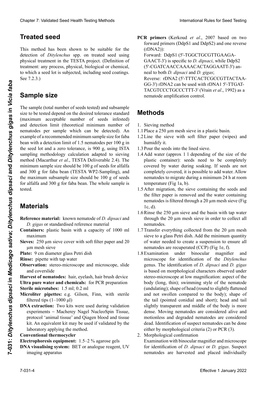# **Luz ultravioleta** • Ergänzend sind die Sicherheitshinweise in den jeweili-**Lumière ultraviolette Treated seed**

This method has been shown to be suitable for the detection of *Ditylenchus* spp. on treated seed using<br>physical treatment in the TESTA project. (Definition of physical treatment in the TESTA project. (Definition of we which a seed for is sabjected, mordanig seed codings.<br>See 7.2.3.) treatment: any process, physical, biological or chemical, to which a seed lot is subjected, including seed coatings. UV-Schutzbrille verwendet wird.  $\frac{1}{2}$ 

#### de *Ditylenchus* spp. en semilla tratada usando tratamiento físico en el proyecto TESTA. (Definición de tratamiento: **Sample size**<br>
Il a été méthode est adaptée pour la détection de la détection de la détection de la détection de la détection de la

The sample (total number of seeds tested) and subsample size to be tested depend on the desired tolerance standard nachweis von *Dieste depend on the desired toterance standard*<br>(maximum acceptable number of seeds infested) nematodes per sample which ca bean with a detection limit of 1.5 nematodes per  $100 \text{ g}$  in the seed lot and a zero tolerance, is 900 g, using ISTA sampling methodology calculation adapted to sieving sampling methodology calculation adapted to sleving<br>method (Macarthur *et al.*, TESTA Deliverable 2.4). The minimum sample size should be 100 g of seeds for alfalfa and 300 g for faba bean (TESTA WP2-Sampling), and minimum sample size should be 100 g of seeds for alfalfa<br>and 300 g for faba bean (TESTA WP2-Sampling), and<br>the maximum subsample size should be 100 g of seeds for alfalfa and 300 g for faba bean. The whole sample is es de 900 g, usando la metodología de cálculo de cálculo de cálculo de muestre o de muestre o de muestre o de Clearlor 7. Validated Post Postin Forica brief international control of the state of the state of the state of the state of the state of the state of the state of the state of the state of the state of the state of the st and detection limit (theoretical minimum number of and detection film (dicoretical filminium fiumoci of nematodes per sample which can be detected). An example of a recommended minimum sample size for faba<br>have with a detection limit of 1.5 nometedes new 100 site Chaos 7 Voldskel Seel Heell Twing Modus<br>
Treat decided see the the material factor in the material field and the material field and the material of the material of the material field of the material of the material of the mite de détection de 1,5 nématodes par 100 g dans un lot de semences et une toulerance de 0 est 900 g, en utilisant la propriet de 1,6 nématodes et une touler de 0 est 900 g, en utilisant la propriet de 1,6 nématodes et un Cleares 7: Walisters is the result of the state of the state of the state of the state of the state of the state of the state of the state of the state of the state of the state of the state of the state of the state of t Effective 1 University of 100 ml 1.7 Tracking counter the base of the satisfaction of the *Diversion Complement* and the *Construction* of the *Construction* of the *Construction* of the *Construction* of the *Constructio* tested.

#### TESTA Deliverable 2.4). El tamaño mínimo de muestra **de ser 100 g de alfalfa y 300 g de filtration de calcul d'échantillonage de l'ISTA adaptée à la méthode de l'ISTA de l'ISTA adaptée à la méthode de l'ISTA adaptée à la méthode de l'ISTA DE l'ISTA DE l'ISTA DE l'ISTA DE l'**

- Reference material: known nematode of *D. dipsaci* and D. gigas or standardised reference material for alfalfa and 300 g for faba bean. The whole sample is<br>tested.<br>**Materials**<br>**Reference material:** known nematode of *D. dipsaci* and<br>*D. gigas* or standardised reference material
- **Containers:** plastic basin with a capacity of 1000 ml<br>maximum maximum entry and 300 g für Fababohne betragen and 300 g für Fababohne betragen and 300 g für Fababohne betragen and 300 g für Fababohne betragen and 300 g für Fababohne betragen and 300 g für Fababohne betragen and 300 g
- **Sieves:** 250 µm sieve cover with soft filter paper and 20  $\mu$ m mesh sieve
- **Material de referencia:** nematodo conocido de *D. dipsaci* Fababohne betragen. Die gesamte Probe wird untersucht. **Matériel Plate:** 9 cm diameter glass Petri dish
- **Rinse:** pipette with tap water
- **Observation:** stereo-microscope and microscope, slide **Discription:** step of meroscope and increase pe, since and coverslide

Harvest of nematodes: hair, eyelash, hair brush device **Reference of a malla de 20 kmalla de 20 kmalla de la plastique de la plastique de la plastique d'une contenance de la plastique d'une contenance de la plastique d'une contenance de la plastique d'une contenance de la plas Place diameter and chemicals:** The Text proportion

- **Extra metodoles:** 1.5 mi, 6.2 mi<br>Mianalitan pipettas: 0.0 Cilean **Observation: Piperces.** e.g. Observation, porta service **Microliter pipettes:** e.g. Gilson, Finn, with sterile filtered tips  $(1-1000 \mu l)$
- mercu ups (1–1000 µm)<br>**DNA extraction:** Two kits were used during validation **PIVA CAU ACHOII.** TWO KIIS WELC USED DUITING VANDATION  $\alpha$  permierres  $\alpha$  matherey protocol 'animal tissue' and Qiagen blood and tissue kit. An equivalent kit may be used if validated by the laboratory applying the method.  $\Lambda$  call action. Experiments – Macheley Nager Nucleos **PINA CALLACTION.** TWO KILS V experiments – Macherey Nagel NucleoSpin Tissue,

### **Conventional thermocycler**<br> **Eau ultra-pure et products chimiques et products chimiques et products chimiques et products chimiques et produits chimiques et produits chimiques et produits chimiques et produits chimiques e**

**Electrophoresis equipment:** 1.5–2 % agarose gels

**DNA visualising system:** BET or analogue reagent, UV imaging apparatus PCR primers (Kerkoud et al., 2007 based on two **PCR primers** (Kerkoud *et al.*, 2007 based on two forward primers (DdpS1 and DdpS2) and one reverse (rDNA2)):

Forward: DdpS1 (5'-TGGCTGCGTTGAAGA-GAACT-3') is specific to *D. dipsaci*, while DdpS2 (5'-CGATCAACCAAAACACTAGGAATT-3') anneal to both *D. dipsaci* and *D. gigas*; Reverse: rDNA2 (5'-TTTCACTCGCCGTTACTAA-<br>GG-3') rDNA2 can be used with rDNA1 5'-TTGAT-GG-3') rDNA2 can be used with rDNA1 5'-TTGAT-TACGTCCCTGCCCTTT-3' (Vrain *et al.*, 1992) as a  $F_{\text{R}}$  rematode amplification control GAACT-3') es específico para *D. dipsaci*, mientras nematode amplification control Bildwieder der <sub>Bild</sub>wiedergabet<br>Geskiedenis  $f(x) = \frac{1}{2}$  and  $\frac{1}{2}$  and  $\frac{1}{2}$  control nematode amplification control.

#### **Methods**<br>Ward primers" (DDCDS2) und DDDS2) und DDDS2) und DDS2 reverse: room and the contract contract contract contract contract contract contract contract contract contract contract contract contract contract contract contract contract contract contract contract contract contract co se primer" (roman) s'hybride avec *D. dipsaci* and *D. gigas*;

- 1. Sieving method
- 1.1 Place a 250 μm mesh sieve in a plastic basin.
- $\frac{1}{\sqrt{1-\frac{1}{\sqrt{1-\frac{1}{\sqrt{1-\frac{1}{\sqrt{1-\frac{1}{\sqrt{1-\frac{1}{\sqrt{1-\frac{1}{\sqrt{1-\frac{1}{\sqrt{1-\frac{1}{\sqrt{1-\frac{1}{\sqrt{1-\frac{1}{\sqrt{1-\frac{1}{\sqrt{1-\frac{1}{\sqrt{1-\frac{1}{\sqrt{1-\frac{1}{\sqrt{1-\frac{1}{\sqrt{1-\frac{1}{\sqrt{1-\frac{1}{\sqrt{1-\frac{1}{\sqrt{1-\frac{1}{\sqrt{1-\frac{1}{\sqrt{1-\frac{1}{\sqrt{1-\frac{1}{\sqrt{1-\frac{1}{\sqrt{1-\frac{1$ beide *D. die beide* with sold inter paper (wipes) and Reverse: rDNA2 (5'-TTTCACTCGCCGT- $\frac{1}{5}$  and  $\frac{250 \text{ }\mu\text{m}}{2}$  mesh sieve m a plastic basin. 1.2 Line the sieve with soft filter paper (wipes) and humidify it.
- 1.3 Pour the set  $1.3$  Pour the seeds into the lined sieve.
- plastic container): seeds need to be completely covered by water during soaking. If seeds are not completely covered, it is possible to add water. Allow nematodes to migrate during a minimum 24 h at room temperature (Fig 1a, b). 1.4 Add water (approx 1 l depending of the size of the
- 1.5 After migration, the sieve containing the seeds and the filter paper is removed and the water containing nematodes is filtered through a 20  $\mu$ m mesh sieve (Fig 1c, d).  $\text{lc}, \text{d}$ .  $\iota$ erent en plastique doivent être comme  $\iota$ 1c, d).
- 1.6 Rinse the  $250 \mu m$  sieve and the basin with tap water 1.6 Rinse the  $250 \mu m$  sieve and the basin with tap water<br>through the  $20 \mu m$  mesh sieve in order to collect all nematodes.
- 1.7 Transfer everything collected from the 20 µm mesh sieve to a glass Petri dish. Add the minimum quantity of water needed to create a suspension to ensure all<br>nematodes are recuperated (CCP) (Fig. 1e. f). nematodes are recuperated  $(CCP)$  (Fig. 1e. f). 1.5 Après de tamis contenant de tamis contenant les sement des sement des sement de l'eau contenant les nématodes et les nématodes en l'extension de 20 µmm de 20 µmm de 20 µmm de 20 µmm de 20 µmm de 20 µmm de 20 µmm de 20 nematodes are recuperated (CCP) (Fig 1e, f).
- 1.8 Examination under binocular magnifier and microscope for identification of the *Ditylenchus*<br>genus The identification of *D* dinsaci and *D* gigas genus. The identification of *D. dipsaci* and *D. gigas* is based on morphological characters observed under<br>stereo-microscope at low magnification: aspect of the stereo-microscope at low magnification: aspect of the 1.7 Transférer enthälten enthälten ein 20 ungener durch einer durch einer durch einer durch einer durch einer durch einer durch einer der durch einer durch einer durch einer durch einer durch einer durch einer durch einer dans une boite de agua necessary (religion); shamming style of the nemated (undulating); shape of head (round to slightly flattened and not swollen compared to the body); shape of  $\frac{1}{\sqrt{2}}$ and not swonen compared to the body), shape of the tail (pointed conidial and short); head and tail rung aller the microscopional and short), head and tan identificación del género *Ditylenchus*. La identifica-1.7 Alles, was auf dem 20 µm Sieb aufgefangen wurde, identifier le genre *Ditylenchus*. L'identification de dense. Moving nematodes are considered alive and dense. *Moving* hematoues are considered anve and motioniess and degraded nematodes are considered motionness and degraded hematodes are considered<br>dead. Identification of suspect nematodes can be done dead. Identification of suspect hematodes can be done<br>either by morphological criteria (2) or PCR (3). where wird in eine Glas-Petrischale <u>diplomatica</u> et *D. dipsacie et al. dipsaci* et *dipsaci* et *dipsaci* et *dipsaci* et *dipsaci* et *dipsaci* et *dipsaci* et *dipsaci* et *dipsaci* et *dipsaci* et *dipsaci* et *dipsac* motionless and degraded nematodes are considered
- 2. Morphological confirmation 2. Morphological commation<br>Examination with binocular magnifier and microscope Examination with binocular magnifier and microscope<br>for identification of *D. dipsaci* or *D. gigas*. Suspect nematodes are harvested and placed individually

**7-031:** *Ditylenchus dipsaci* **en** *Medicago sativa* **(alfalfa);** *D. dipsaci i* and Ditylenchus gigas in Vici **an***sativa***;** *D. dipsaci* **und** *D. gigas* **an** *Vicia faba*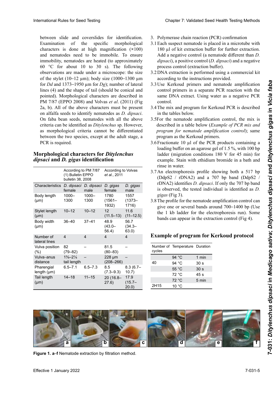#### $\mathbf{L}$ orphological characters for *Duylenchus* dipsaci and D. gigas identification<br>
and the purpose of the state of the state of the state of the state of the state of the state of the state of the state of the state of the state of the state of the state of the state **Morphological characters for** *Ditylenchus*

| between slide and coverslides for identification.<br>Examination<br>of<br>characters is done at high magnification $(x100)$<br>and nematodes need to be immobile. To ensure<br>immobility, nematodes are heated (to approximately<br>60 °C for about 10 to 30 s). The following<br>observations are made under a microscope: the size<br>of the stylet (10-12 $\mu$ m); body size (1000-1300 $\mu$ m<br>for Dd and 1373–1950 µm for Dg); number of lateral<br>lines (4) and the shape of tail (should be conical and<br>pointed). Morphological characters are described in<br>PM 7/87 (EPPO 2008) and Volvas et al. (2011) (Fig.<br>2a, b). All of the above characters must be present<br>on alfalfa seeds to identify nematodes as <i>D. dipsaci</i> .<br>On faba bean seeds, nematodes with all the above<br>criteria can be identified as Ditylenchus sp. However,<br>as morphological criteria cannot be differentiated<br>between the two species, except at the adult stage, a<br>PCR is required.<br>Morphological characters for Ditylenchus<br><i>dipsaci</i> and <i>D. gigas</i> identification<br>Characteristics D. dipsaci D. dipsaci D. gigas<br>female<br>Body length<br>$1000 -$<br>1300<br>$(\mu m)$<br>Stylet length<br>$10 - 12$<br>$(\mu m)$ | specific<br>the<br>According to PM 7/87<br>(1) Bulletin EPPO<br>bulletin 38, 2008<br>male<br>female | morphological<br>According to Volvas<br>et al., 2011 | 3. Polymerase chain reaction (PCR) confirmation<br>3.1 Each suspect nematode is placed in a microtube with<br>180 $\mu$ l of kit extraction buffer for further extraction.<br>Add a negative control (a nematode different than $D$ .<br>$dipsaci$ , a positive control ( <i>D. dipsaci</i> ) and a negative<br>process control (extraction buffer).<br>3.2 DNA extraction is performed using a commercial kit<br>according to the instructions provided.<br>3.3 Use Kerkoud primers and nematode amplification<br>control primers in a separate PCR reaction with the<br>same DNA extract. Using water as a negative PCR<br>control.<br>3.4 The mix and program for Kerkoud PCR is described<br>in the tables below.<br>3.5For the nematode amplification control, the mix is<br>described in a table below (Example of PCR mix and<br>program for nematode amplification control); same<br>program as the Kerkoud primers.<br>3.6 Fractionate 10 µl of the PCR products containing a<br>loading buffer on an agarose gel of 1.5%, with 100 bp<br>ladder (migration conditions 180 V for 45 min) for<br>example. Stain with ethidium bromide in a bath and<br>rinse in water.<br>3.7 An electrophoresis profile showing both a 517 bp<br>(DdpS2 / rDNA2) and a 707 bp band (DdpS2 / |
|--------------------------------------------------------------------------------------------------------------------------------------------------------------------------------------------------------------------------------------------------------------------------------------------------------------------------------------------------------------------------------------------------------------------------------------------------------------------------------------------------------------------------------------------------------------------------------------------------------------------------------------------------------------------------------------------------------------------------------------------------------------------------------------------------------------------------------------------------------------------------------------------------------------------------------------------------------------------------------------------------------------------------------------------------------------------------------------------------------------------------------------------------------------------------------------------------------------------------------------------------------------------|-----------------------------------------------------------------------------------------------------|------------------------------------------------------|--------------------------------------------------------------------------------------------------------------------------------------------------------------------------------------------------------------------------------------------------------------------------------------------------------------------------------------------------------------------------------------------------------------------------------------------------------------------------------------------------------------------------------------------------------------------------------------------------------------------------------------------------------------------------------------------------------------------------------------------------------------------------------------------------------------------------------------------------------------------------------------------------------------------------------------------------------------------------------------------------------------------------------------------------------------------------------------------------------------------------------------------------------------------------------------------------------------------------------------------------------------------------------------|
|                                                                                                                                                                                                                                                                                                                                                                                                                                                                                                                                                                                                                                                                                                                                                                                                                                                                                                                                                                                                                                                                                                                                                                                                                                                                    |                                                                                                     |                                                      |                                                                                                                                                                                                                                                                                                                                                                                                                                                                                                                                                                                                                                                                                                                                                                                                                                                                                                                                                                                                                                                                                                                                                                                                                                                                                      |
|                                                                                                                                                                                                                                                                                                                                                                                                                                                                                                                                                                                                                                                                                                                                                                                                                                                                                                                                                                                                                                                                                                                                                                                                                                                                    |                                                                                                     |                                                      |                                                                                                                                                                                                                                                                                                                                                                                                                                                                                                                                                                                                                                                                                                                                                                                                                                                                                                                                                                                                                                                                                                                                                                                                                                                                                      |
|                                                                                                                                                                                                                                                                                                                                                                                                                                                                                                                                                                                                                                                                                                                                                                                                                                                                                                                                                                                                                                                                                                                                                                                                                                                                    |                                                                                                     |                                                      |                                                                                                                                                                                                                                                                                                                                                                                                                                                                                                                                                                                                                                                                                                                                                                                                                                                                                                                                                                                                                                                                                                                                                                                                                                                                                      |
|                                                                                                                                                                                                                                                                                                                                                                                                                                                                                                                                                                                                                                                                                                                                                                                                                                                                                                                                                                                                                                                                                                                                                                                                                                                                    |                                                                                                     | D. gigas<br>male                                     | rDNA2) identifies <i>D. dipsaci</i> . If only the 707 bp band<br>is observed, the tested individual is identified as $D$ .                                                                                                                                                                                                                                                                                                                                                                                                                                                                                                                                                                                                                                                                                                                                                                                                                                                                                                                                                                                                                                                                                                                                                           |
|                                                                                                                                                                                                                                                                                                                                                                                                                                                                                                                                                                                                                                                                                                                                                                                                                                                                                                                                                                                                                                                                                                                                                                                                                                                                    | $1000 -$<br>1300<br>1932)                                                                           | 1780<br>1557<br>$(1561 -$<br>$(1373 -$<br>1716)      | gigas (Fig 3).<br>3.8 The profile for the nematode amplification control can<br>give one or several bands around 700-1400 bp (Use                                                                                                                                                                                                                                                                                                                                                                                                                                                                                                                                                                                                                                                                                                                                                                                                                                                                                                                                                                                                                                                                                                                                                    |
|                                                                                                                                                                                                                                                                                                                                                                                                                                                                                                                                                                                                                                                                                                                                                                                                                                                                                                                                                                                                                                                                                                                                                                                                                                                                    | $10 - 12$<br>12                                                                                     | 11.6<br>$(11.5 - 13)$<br>$(11-12.5)$                 | the 1 kb ladder for the electrophoresis run). Some<br>bands can appear in the extraction control (Fig 4).                                                                                                                                                                                                                                                                                                                                                                                                                                                                                                                                                                                                                                                                                                                                                                                                                                                                                                                                                                                                                                                                                                                                                                            |
| $36 - 40$<br>Body width<br>$(\mu m)$                                                                                                                                                                                                                                                                                                                                                                                                                                                                                                                                                                                                                                                                                                                                                                                                                                                                                                                                                                                                                                                                                                                                                                                                                               | $37 - 41$<br>48.9<br>56.4)                                                                          | 56.7<br>$(43.0 -$<br>$(34.3 -$<br>63.0)              |                                                                                                                                                                                                                                                                                                                                                                                                                                                                                                                                                                                                                                                                                                                                                                                                                                                                                                                                                                                                                                                                                                                                                                                                                                                                                      |
| Number of<br>$\overline{4}$<br>lateral lines                                                                                                                                                                                                                                                                                                                                                                                                                                                                                                                                                                                                                                                                                                                                                                                                                                                                                                                                                                                                                                                                                                                                                                                                                       | $\overline{4}$<br>4                                                                                 | 4                                                    | <b>Example of program for Kerkoud protocol</b>                                                                                                                                                                                                                                                                                                                                                                                                                                                                                                                                                                                                                                                                                                                                                                                                                                                                                                                                                                                                                                                                                                                                                                                                                                       |
| 82<br>Vulva position<br>$(79 - 82)$<br>(% )                                                                                                                                                                                                                                                                                                                                                                                                                                                                                                                                                                                                                                                                                                                                                                                                                                                                                                                                                                                                                                                                                                                                                                                                                        | 81.5                                                                                                | $(80 - 83)$                                          | Number of Temperature Duration<br>cycles                                                                                                                                                                                                                                                                                                                                                                                                                                                                                                                                                                                                                                                                                                                                                                                                                                                                                                                                                                                                                                                                                                                                                                                                                                             |
| $1\frac{3}{4}-2\frac{1}{4}$<br>Vulva-anus<br>tail length<br>distance                                                                                                                                                                                                                                                                                                                                                                                                                                                                                                                                                                                                                                                                                                                                                                                                                                                                                                                                                                                                                                                                                                                                                                                               |                                                                                                     | 228 µm<br>$(208 - 266)$                              | 94 °C<br>1 min<br>40<br>94 °C<br>30 <sub>s</sub>                                                                                                                                                                                                                                                                                                                                                                                                                                                                                                                                                                                                                                                                                                                                                                                                                                                                                                                                                                                                                                                                                                                                                                                                                                     |
| Pharengial<br>$6.5 - 7.1$                                                                                                                                                                                                                                                                                                                                                                                                                                                                                                                                                                                                                                                                                                                                                                                                                                                                                                                                                                                                                                                                                                                                                                                                                                          | $6.5 - 7.3$<br>8.5                                                                                  | $8.3(6.7-$                                           | 55 °C<br>30 s                                                                                                                                                                                                                                                                                                                                                                                                                                                                                                                                                                                                                                                                                                                                                                                                                                                                                                                                                                                                                                                                                                                                                                                                                                                                        |
| length $(\mu m)$                                                                                                                                                                                                                                                                                                                                                                                                                                                                                                                                                                                                                                                                                                                                                                                                                                                                                                                                                                                                                                                                                                                                                                                                                                                   |                                                                                                     | $(7.3 - 9.3)$<br>10.7)                               | 72 °C<br>45 <sub>s</sub>                                                                                                                                                                                                                                                                                                                                                                                                                                                                                                                                                                                                                                                                                                                                                                                                                                                                                                                                                                                                                                                                                                                                                                                                                                                             |
| $14 - 18$<br>Tail length<br>$(\mu m)$                                                                                                                                                                                                                                                                                                                                                                                                                                                                                                                                                                                                                                                                                                                                                                                                                                                                                                                                                                                                                                                                                                                                                                                                                              | $11 - 15$<br>27.6)                                                                                  | 17.9<br>$20(16.8 -$<br>$(15.7 -$<br>20.0)            | 72 °C<br>5 min<br>2H15<br>10 °C                                                                                                                                                                                                                                                                                                                                                                                                                                                                                                                                                                                                                                                                                                                                                                                                                                                                                                                                                                                                                                                                                                                                                                                                                                                      |

- International Rules for Seed Testing **International Chapter 7: Validated Seed Health Testing Methods** 
	- 3. Polymerase chain reaction (PCR) confirmation
	- 3. Polymerase chain reaction (PCR) confirmation<br>3.1 Each suspect nematode is placed in a microtube with 180 μl of kit extraction buffer for further extraction. dipsaci), a positive control (*D. dipsaci*) and a negative mpattery, a pattern country (2 comparter) and Volvas *et al*., 2011 Add a negative control (a nematode different than *D*. process control (extraction buffer). vas *et al.*, 2011
	- boletín 38, 2008 **die** *Ditylenchus dipsaci* **und** *D. gigas* Charactéris-*D. dipsaci D. dipsaci D. gigas D. gigas*  3.2 DNA extraction is performed using a commercial kit Características *D. dipsaci*   $\frac{1}{2}$ *D. dipsaci*   $\frac{1}{2}$ **D. giga cording to the instructions provided.** hemann ann an chomhair ann an chomhair an chomhair an chomhair an chomhair an chomhair an chomhair an chomhair <br>Tha an chomhair an chomhair an chomhair an chomhair an chomhair an chomhair an chomhair an chomhair an chomhai
	- 3.3 Use Kerkoud primers and nematode amplification control primers in a separate PCR reaction with the  $\frac{1}{2}$  extract. Using water as a negative control.  $\alpha$ uact.  $\alpha$ sing same DNA extract. Using water as a negative PCR *D. D. D. gigas*, *D. gigas*,
	- comot.<br>Externive and program for Kerkoud PCR is describe in the tables below.  $,4$ *dipsaci*, *dipsaci*, ua pur descriped  $\theta$  and  $\theta$  are the state of  $\theta$  and  $\theta$  and  $\theta$  and  $\theta$  and  $\theta$  and  $\theta$  and  $\theta$  and  $\theta$  and  $\theta$  and  $\theta$  and  $\theta$  and  $\theta$  and  $\theta$  and  $\theta$  and  $\theta$  and  $\theta$  and  $\theta$  and  $\theta$  and  $\theta$  and  $\theta$  and  $\theta$  and  $\overline{1}$ 3.4 The mix and program for Kerkoud PCR is described
	- cuerpo (111 m)<br>(43,0–44,0–112,0–45,0–112,0–112,0–113,0–114,0–114,0–114,0–114,0–114,0–114,0–114,0–114,0–114,0–114,0–114,0–114,  $\frac{6}{1}$ (34,3)<br>(34,3)  $3.5$ For the nematode amplification control, the mix is described in a table below (*Example of PCR mix and* program for nematode amplification control); s  $\frac{1}{2}$  program as the Kerkoud primers. 11.6 *program for nematode amplification control*); same
	- program as the Refixodd primers.<br>3.6 Fractionate 10 µl of the PCR products containing a loading buffer on an agarose gel of 1.5 % ladder (migration conditions 180 V for 45 min) for raduce (inigration conditions Too + 1 example. Stain with ethidium bromide in a bath and rinse in water.  $\mathbf{er}$ ,  $\mathbf{er}$ ,  $\mathbf{er}$  $\overline{10}$  $\frac{36}{4}$  or the TCK product  $(1.3)$ nam.<br>. . . .  $\mathfrak{m}$  Too  $\frac{1}{2}$  iii  $\frac{1}{2}$  or  $\frac{1}{2}$  or the FOR products c loading buffer on an agarose gel of  $1.5\%$ , with 100 bp  $\mathbf{r},\mathbf{r}$
	- 3.7 An electrophoresis profile showing both a 517 bp (DdpS2 / rDNA2) and a 707 bp band (DdpS2 / rDNA2) identifies *D. dipsaci*. If only the 707 bp band is observed, the tested individual is identified Abstand tail length *gigas* (Fig 3). 27,6) 20,0) is observed, the tested individual is identified as *D.*
	- 3.8 The profile for the nematode amplification control can give one or several bands around 700–1400 bp (Use the 1 kb ladder for the electrophoresis run). Some  $\mu$  hands can appear in the extraction control (Fig. 4) bands can appear in the extraction control (Fig 4).

## **a b c d e f Example of program for Kerkoud protocol**

| cycles | Number of Temperature Duration |                 |
|--------|--------------------------------|-----------------|
|        | 94 $^{\circ}$ C                | 1 min           |
| 40     | 94 °C                          | 30 <sub>s</sub> |
|        | 55 °C                          | 30 <sub>s</sub> |
|        | 72 °C                          | 45 s            |
|        | 72 °C                          | 5 min           |
| 2H15   | 10 °C                          |                 |



Figure 1. a–f Nematode extraction by filtration method.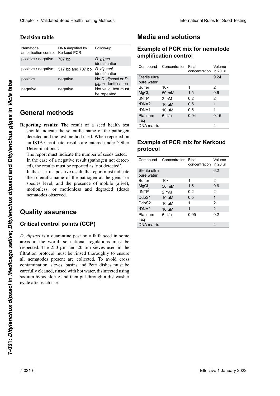### **Decision table**

| Nematode<br>amplification control | DNA amplified by<br><b>Kerkoud PCR</b> | Follow-up                                   |
|-----------------------------------|----------------------------------------|---------------------------------------------|
| positive / negative               | 707 bp                                 | D. gigas<br>identification                  |
| positive / negative               | 517 bp and 707 bp                      | D. dipsaci<br>identification                |
| positive                          | negative                               | No D. dipsaci or D.<br>gigas identification |
| negative                          | negative                               | Not valid, test must<br>be repeated         |
|                                   |                                        |                                             |

#### Conoral mothodo  $\frac{1}{2}$ **General methods** 40 <del>94 °C 30 °C 30</del>

# **Quality assurance**

#### wiederholt werden Critical control points (CCP)

# **Media and solutions**

#### **Example of PCR mix for nematode** *D. dipsaci* es una plaga cuarentenaria en semillas de alfalfa **amplification control**

| Compound                    | Concentration Final | concentration | Volume<br>in $20$ µ |
|-----------------------------|---------------------|---------------|---------------------|
| Sterile ultra<br>pure water |                     |               | 9.24                |
| <b>Buffer</b>               | $10\times$          | 1             | 2                   |
| MgCl <sub>2</sub>           | 50 mM               | 1.5           | 0.6                 |
| dNTP                        | 2 mM                | 0.2           | 2                   |
| rDNA <sub>2</sub>           | $10 \mu M$          | 0.5           | 1                   |
| rDNA1                       | $10 \mu M$          | 0.5           | 1                   |
| Platinum<br>Taq             | $5$ U/ $\mu$ I      | 0.04          | 0.16                |
| <b>DNA</b> matrix           |                     |               | 4                   |
|                             |                     |               |                     |

#### **Ejemplo de mezcla de PCR para el control de amplificación de nematodos Beispiel des PCR-Mix für**  Example of Fortunx for Remotal Exemple of DCD mix for Kerkeud **PCR pour le témoin d'amplification Example of PCR mix for Kerkoud nématode protocol**

| Nematode                                                                                                                                                               | DNA amplified by                                                                                                                                                                                                                                                                                                                                                                                                | Follow-up                                             | <b>Example of PCR mix for nematode</b> |                        |                        |                |
|------------------------------------------------------------------------------------------------------------------------------------------------------------------------|-----------------------------------------------------------------------------------------------------------------------------------------------------------------------------------------------------------------------------------------------------------------------------------------------------------------------------------------------------------------------------------------------------------------|-------------------------------------------------------|----------------------------------------|------------------------|------------------------|----------------|
| amplification control<br>positive / negative                                                                                                                           | <b>Kerkoud PCR</b>                                                                                                                                                                                                                                                                                                                                                                                              | D. gigas                                              |                                        | amplification control  |                        |                |
|                                                                                                                                                                        | 707 bp                                                                                                                                                                                                                                                                                                                                                                                                          | identification                                        | Compound                               | Concentration Final    |                        | Volume         |
| positive / negative                                                                                                                                                    | 517 bp and 707 bp                                                                                                                                                                                                                                                                                                                                                                                               | D. dipsaci<br>identification                          | Sterile ultra                          |                        | concentration in 20 µl |                |
| positive                                                                                                                                                               | negative                                                                                                                                                                                                                                                                                                                                                                                                        | No D. dipsaci or D.<br>gigas identification           | pure water                             |                        |                        | 9.24           |
| negative                                                                                                                                                               | negative                                                                                                                                                                                                                                                                                                                                                                                                        | Not valid, test must                                  | <b>Buffer</b>                          | $10\times$             | 1                      | $\overline{2}$ |
|                                                                                                                                                                        |                                                                                                                                                                                                                                                                                                                                                                                                                 | be repeated                                           | MgCl <sub>2</sub>                      | 50 mM                  | 1.5                    | 0.6            |
|                                                                                                                                                                        |                                                                                                                                                                                                                                                                                                                                                                                                                 |                                                       | dNTP                                   | 2 mM                   | 0.2                    | $\overline{2}$ |
|                                                                                                                                                                        |                                                                                                                                                                                                                                                                                                                                                                                                                 |                                                       | rDNA <sub>2</sub>                      | $10 \mu M$             | 0.5                    | $\mathbf{1}$   |
| <b>General methods</b>                                                                                                                                                 |                                                                                                                                                                                                                                                                                                                                                                                                                 |                                                       | rDNA1                                  | $10 \mu M$             | 0.5                    | $\mathbf{1}$   |
|                                                                                                                                                                        |                                                                                                                                                                                                                                                                                                                                                                                                                 |                                                       | Platinum                               | $5$ U/ $\mu$ I         | 0.04                   | 0.16           |
|                                                                                                                                                                        |                                                                                                                                                                                                                                                                                                                                                                                                                 | Reporting results: The result of a seed health test   | Taq<br>DNA matrix                      |                        |                        | 4              |
|                                                                                                                                                                        |                                                                                                                                                                                                                                                                                                                                                                                                                 | should indicate the scientific name of the pathogen   |                                        |                        |                        |                |
| The report must indicate the number of seeds tested.<br>In the case of a negative result (pathogen not detect-<br>ed), the results must be reported as 'not detected'. |                                                                                                                                                                                                                                                                                                                                                                                                                 | Compound                                              | Concentration Final                    | concentration in 20 µl | Volume                 |                |
|                                                                                                                                                                        | In the case of a positive result, the report must indicate                                                                                                                                                                                                                                                                                                                                                      |                                                       | Sterile ultra                          |                        |                        | 6.2            |
| the scientific name of the pathogen at the genus or                                                                                                                    |                                                                                                                                                                                                                                                                                                                                                                                                                 |                                                       | pure water<br><b>Buffer</b>            | $10\times$             | 1                      | $\overline{2}$ |
| species level, and the presence of mobile (alive),<br>motionless, or motionless and degraded (dead)<br>nematodes observed.                                             |                                                                                                                                                                                                                                                                                                                                                                                                                 | MgCl <sub>2</sub>                                     | 50 mM                                  | 1.5                    | 0.6                    |                |
|                                                                                                                                                                        |                                                                                                                                                                                                                                                                                                                                                                                                                 | dNTP                                                  | 2 mM                                   | 0.2                    | $\overline{2}$         |                |
|                                                                                                                                                                        |                                                                                                                                                                                                                                                                                                                                                                                                                 | DdpS1                                                 | $10 \mu M$                             | 0.5                    | $\mathbf{1}$           |                |
|                                                                                                                                                                        |                                                                                                                                                                                                                                                                                                                                                                                                                 |                                                       | DdpS2                                  | $10 \mu M$             | 1                      | 2              |
|                                                                                                                                                                        |                                                                                                                                                                                                                                                                                                                                                                                                                 | rDNA <sub>2</sub>                                     | $10 \mu M$                             | $\mathbf{1}$           | $\overline{2}$         |                |
| <b>Quality assurance</b><br><b>Critical control points (CCP)</b>                                                                                                       |                                                                                                                                                                                                                                                                                                                                                                                                                 | Platinum                                              | $5$ U/ $\mu$ I                         | 0.05                   | 0.2                    |                |
|                                                                                                                                                                        |                                                                                                                                                                                                                                                                                                                                                                                                                 | Taq<br><b>DNA</b> matrix                              |                                        |                        | $\overline{4}$         |                |
| cycle after each use.                                                                                                                                                  | D. dipsaci is a quarantine pest on alfalfa seed in some<br>areas in the world, so national regulations must be<br>respected. The 250 µm and 20 µm sieves used in the<br>filtration protocol must be rinsed thoroughly to ensure<br>all nematodes present are collected. To avoid cross<br>contamination, sieves, basins and Petri dishes must be<br>carefully cleaned, rinsed with hot water, disinfected using | sodium hypochlorite and then put through a dishwasher |                                        |                        |                        |                |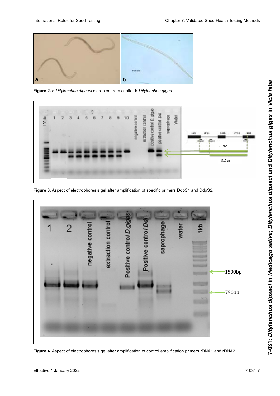

Figure 2. a Ditylenchus dipsaci extracted from alfalfa. b Ditylenchus gigas.



Figure 3. Aspect of electrophoresis gel after amplification of specific primers DdpS1 and DdpS2.



**Figura 4. Aspecto de electrophonesis pol ofter emplification af control omplification primers dPNA4 em ddPNA2** Figure 4. Aspect of electrophoresis gel after amplification of control amplification primers rDNA1 and rDNA2.